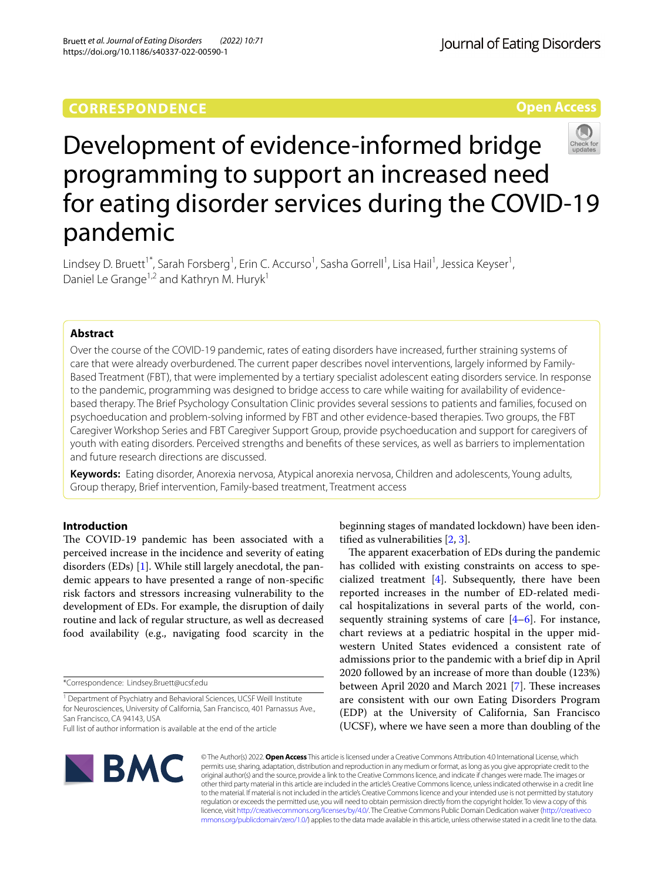# **CORRESPONDENCE**

**Open Access**



# Development of evidence-informed bridge programming to support an increased need for eating disorder services during the COVID-19 pandemic

Lindsey D. Bruett<sup>1\*</sup>, Sarah Forsberg<sup>1</sup>, Erin C. Accurso<sup>1</sup>, Sasha Gorrell<sup>1</sup>, Lisa Hail<sup>1</sup>, Jessica Keyser<sup>1</sup>, Daniel Le Grange<sup>1,2</sup> and Kathryn M. Huryk<sup>1</sup>

# **Abstract**

Over the course of the COVID-19 pandemic, rates of eating disorders have increased, further straining systems of care that were already overburdened. The current paper describes novel interventions, largely informed by Family-Based Treatment (FBT), that were implemented by a tertiary specialist adolescent eating disorders service. In response to the pandemic, programming was designed to bridge access to care while waiting for availability of evidencebased therapy. The Brief Psychology Consultation Clinic provides several sessions to patients and families, focused on psychoeducation and problem-solving informed by FBT and other evidence-based therapies. Two groups, the FBT Caregiver Workshop Series and FBT Caregiver Support Group, provide psychoeducation and support for caregivers of youth with eating disorders. Perceived strengths and benefts of these services, as well as barriers to implementation and future research directions are discussed.

**Keywords:** Eating disorder, Anorexia nervosa, Atypical anorexia nervosa, Children and adolescents, Young adults, Group therapy, Brief intervention, Family-based treatment, Treatment access

# **Introduction**

The COVID-19 pandemic has been associated with a perceived increase in the incidence and severity of eating disorders (EDs) [[1](#page-10-0)]. While still largely anecdotal, the pandemic appears to have presented a range of non-specifc risk factors and stressors increasing vulnerability to the development of EDs. For example, the disruption of daily routine and lack of regular structure, as well as decreased food availability (e.g., navigating food scarcity in the

\*Correspondence: Lindsey.Bruett@ucsf.edu



The apparent exacerbation of EDs during the pandemic has collided with existing constraints on access to specialized treatment [\[4](#page-10-3)]. Subsequently, there have been reported increases in the number of ED-related medical hospitalizations in several parts of the world, consequently straining systems of care [[4–](#page-10-3)[6](#page-10-4)]. For instance, chart reviews at a pediatric hospital in the upper midwestern United States evidenced a consistent rate of admissions prior to the pandemic with a brief dip in April 2020 followed by an increase of more than double (123%) between April 2020 and March 2021 [\[7](#page-10-5)]. These increases are consistent with our own Eating Disorders Program (EDP) at the University of California, San Francisco (UCSF), where we have seen a more than doubling of the



© The Author(s) 2022. **Open Access** This article is licensed under a Creative Commons Attribution 4.0 International License, which permits use, sharing, adaptation, distribution and reproduction in any medium or format, as long as you give appropriate credit to the original author(s) and the source, provide a link to the Creative Commons licence, and indicate if changes were made. The images or other third party material in this article are included in the article's Creative Commons licence, unless indicated otherwise in a credit line to the material. If material is not included in the article's Creative Commons licence and your intended use is not permitted by statutory regulation or exceeds the permitted use, you will need to obtain permission directly from the copyright holder. To view a copy of this licence, visit [http://creativecommons.org/licenses/by/4.0/.](http://creativecommons.org/licenses/by/4.0/) The Creative Commons Public Domain Dedication waiver ([http://creativeco](http://creativecommons.org/publicdomain/zero/1.0/) [mmons.org/publicdomain/zero/1.0/](http://creativecommons.org/publicdomain/zero/1.0/)) applies to the data made available in this article, unless otherwise stated in a credit line to the data.

<sup>&</sup>lt;sup>1</sup> Department of Psychiatry and Behavioral Sciences, UCSF Weill Institute for Neurosciences, University of California, San Francisco, 401 Parnassus Ave., San Francisco, CA 94143, USA

Full list of author information is available at the end of the article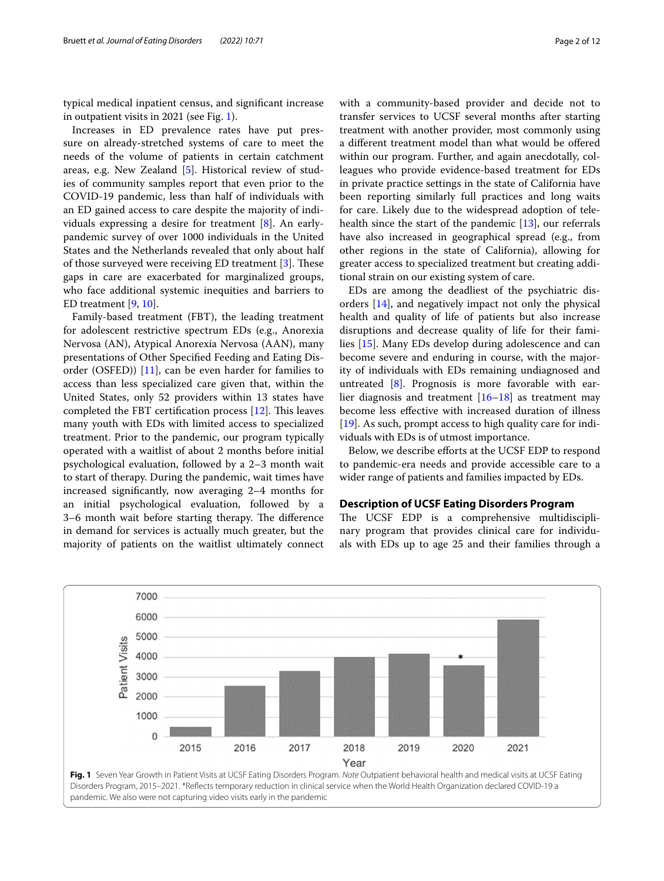typical medical inpatient census, and signifcant increase in outpatient visits in 2021 (see Fig. [1\)](#page-1-0).

Increases in ED prevalence rates have put pressure on already-stretched systems of care to meet the needs of the volume of patients in certain catchment areas, e.g. New Zealand [[5](#page-10-6)]. Historical review of studies of community samples report that even prior to the COVID-19 pandemic, less than half of individuals with an ED gained access to care despite the majority of individuals expressing a desire for treatment [\[8](#page-10-7)]. An earlypandemic survey of over 1000 individuals in the United States and the Netherlands revealed that only about half of those surveyed were receiving ED treatment  $[3]$  $[3]$ . These gaps in care are exacerbated for marginalized groups, who face additional systemic inequities and barriers to ED treatment [[9,](#page-10-8) [10](#page-10-9)].

Family-based treatment (FBT), the leading treatment for adolescent restrictive spectrum EDs (e.g., Anorexia Nervosa (AN), Atypical Anorexia Nervosa (AAN), many presentations of Other Specifed Feeding and Eating Disorder (OSFED)) [\[11](#page-10-10)], can be even harder for families to access than less specialized care given that, within the United States, only 52 providers within 13 states have completed the FBT certification process  $[12]$  $[12]$ . This leaves many youth with EDs with limited access to specialized treatment. Prior to the pandemic, our program typically operated with a waitlist of about 2 months before initial psychological evaluation, followed by a 2–3 month wait to start of therapy. During the pandemic, wait times have increased signifcantly, now averaging 2–4 months for an initial psychological evaluation, followed by a 3–6 month wait before starting therapy. The difference in demand for services is actually much greater, but the majority of patients on the waitlist ultimately connect with a community-based provider and decide not to transfer services to UCSF several months after starting treatment with another provider, most commonly using a diferent treatment model than what would be ofered within our program. Further, and again anecdotally, colleagues who provide evidence-based treatment for EDs in private practice settings in the state of California have been reporting similarly full practices and long waits for care. Likely due to the widespread adoption of telehealth since the start of the pandemic [[13\]](#page-10-12), our referrals have also increased in geographical spread (e.g., from other regions in the state of California), allowing for greater access to specialized treatment but creating additional strain on our existing system of care.

EDs are among the deadliest of the psychiatric disorders [\[14](#page-10-13)], and negatively impact not only the physical health and quality of life of patients but also increase disruptions and decrease quality of life for their families [\[15](#page-10-14)]. Many EDs develop during adolescence and can become severe and enduring in course, with the majority of individuals with EDs remaining undiagnosed and untreated  $[8]$  $[8]$ . Prognosis is more favorable with ear-lier diagnosis and treatment [[16](#page-10-15)[–18](#page-10-16)] as treatment may become less efective with increased duration of illness [[19\]](#page-10-17). As such, prompt access to high quality care for individuals with EDs is of utmost importance.

Below, we describe efforts at the UCSF EDP to respond to pandemic-era needs and provide accessible care to a wider range of patients and families impacted by EDs.

# **Description of UCSF Eating Disorders Program**

The UCSF EDP is a comprehensive multidisciplinary program that provides clinical care for individuals with EDs up to age 25 and their families through a

<span id="page-1-0"></span>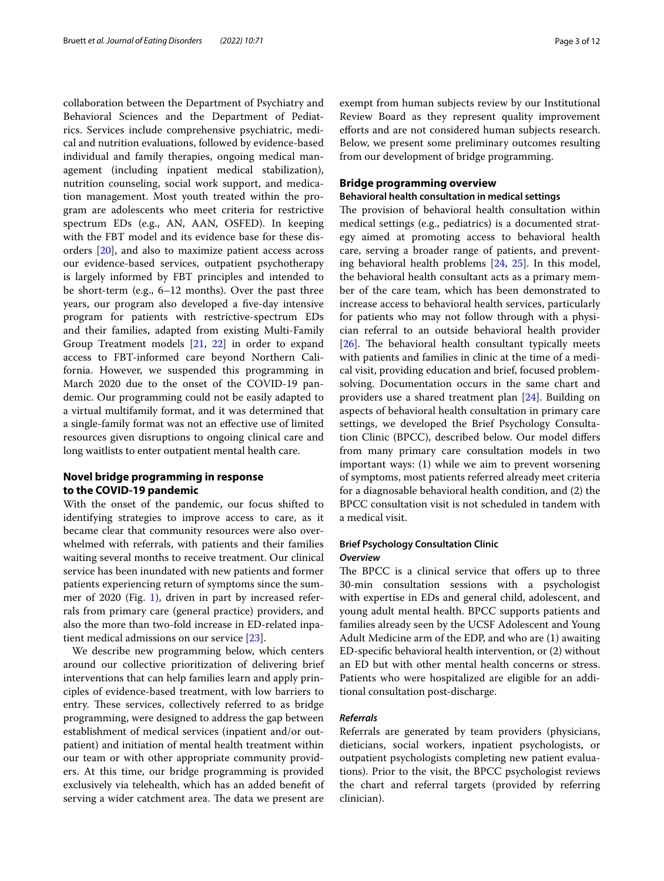collaboration between the Department of Psychiatry and Behavioral Sciences and the Department of Pediatrics. Services include comprehensive psychiatric, medical and nutrition evaluations, followed by evidence-based individual and family therapies, ongoing medical management (including inpatient medical stabilization), nutrition counseling, social work support, and medication management. Most youth treated within the program are adolescents who meet criteria for restrictive spectrum EDs (e.g., AN, AAN, OSFED). In keeping with the FBT model and its evidence base for these disorders [[20\]](#page-10-18), and also to maximize patient access across our evidence-based services, outpatient psychotherapy is largely informed by FBT principles and intended to be short-term (e.g., 6–12 months). Over the past three years, our program also developed a five-day intensive program for patients with restrictive-spectrum EDs and their families, adapted from existing Multi-Family Group Treatment models [\[21](#page-10-19), [22](#page-10-20)] in order to expand access to FBT-informed care beyond Northern California. However, we suspended this programming in March 2020 due to the onset of the COVID-19 pandemic. Our programming could not be easily adapted to a virtual multifamily format, and it was determined that a single-family format was not an efective use of limited resources given disruptions to ongoing clinical care and long waitlists to enter outpatient mental health care.

# **Novel bridge programming in response to the COVID‑19 pandemic**

With the onset of the pandemic, our focus shifted to identifying strategies to improve access to care, as it became clear that community resources were also overwhelmed with referrals, with patients and their families waiting several months to receive treatment. Our clinical service has been inundated with new patients and former patients experiencing return of symptoms since the sum-mer of 2020 (Fig. [1](#page-1-0)), driven in part by increased referrals from primary care (general practice) providers, and also the more than two-fold increase in ED-related inpatient medical admissions on our service [[23](#page-10-21)].

We describe new programming below, which centers around our collective prioritization of delivering brief interventions that can help families learn and apply principles of evidence-based treatment, with low barriers to entry. These services, collectively referred to as bridge programming, were designed to address the gap between establishment of medical services (inpatient and/or outpatient) and initiation of mental health treatment within our team or with other appropriate community providers. At this time, our bridge programming is provided exclusively via telehealth, which has an added beneft of serving a wider catchment area. The data we present are exempt from human subjects review by our Institutional Review Board as they represent quality improvement eforts and are not considered human subjects research. Below, we present some preliminary outcomes resulting from our development of bridge programming.

# **Bridge programming overview**

#### **Behavioral health consultation in medical settings**

The provision of behavioral health consultation within medical settings (e.g., pediatrics) is a documented strategy aimed at promoting access to behavioral health care, serving a broader range of patients, and preventing behavioral health problems [\[24](#page-10-22), [25](#page-10-23)]. In this model, the behavioral health consultant acts as a primary member of the care team, which has been demonstrated to increase access to behavioral health services, particularly for patients who may not follow through with a physician referral to an outside behavioral health provider [[26\]](#page-10-24). The behavioral health consultant typically meets with patients and families in clinic at the time of a medical visit, providing education and brief, focused problemsolving. Documentation occurs in the same chart and providers use a shared treatment plan [\[24](#page-10-22)]. Building on aspects of behavioral health consultation in primary care settings, we developed the Brief Psychology Consultation Clinic (BPCC), described below. Our model difers from many primary care consultation models in two important ways: (1) while we aim to prevent worsening of symptoms, most patients referred already meet criteria for a diagnosable behavioral health condition, and (2) the BPCC consultation visit is not scheduled in tandem with a medical visit.

#### **Brief Psychology Consultation Clinic** *Overview*

The BPCC is a clinical service that offers up to three 30-min consultation sessions with a psychologist with expertise in EDs and general child, adolescent, and young adult mental health. BPCC supports patients and families already seen by the UCSF Adolescent and Young Adult Medicine arm of the EDP, and who are (1) awaiting ED-specifc behavioral health intervention, or (2) without an ED but with other mental health concerns or stress. Patients who were hospitalized are eligible for an additional consultation post-discharge.

#### *Referrals*

Referrals are generated by team providers (physicians, dieticians, social workers, inpatient psychologists, or outpatient psychologists completing new patient evaluations). Prior to the visit, the BPCC psychologist reviews the chart and referral targets (provided by referring clinician).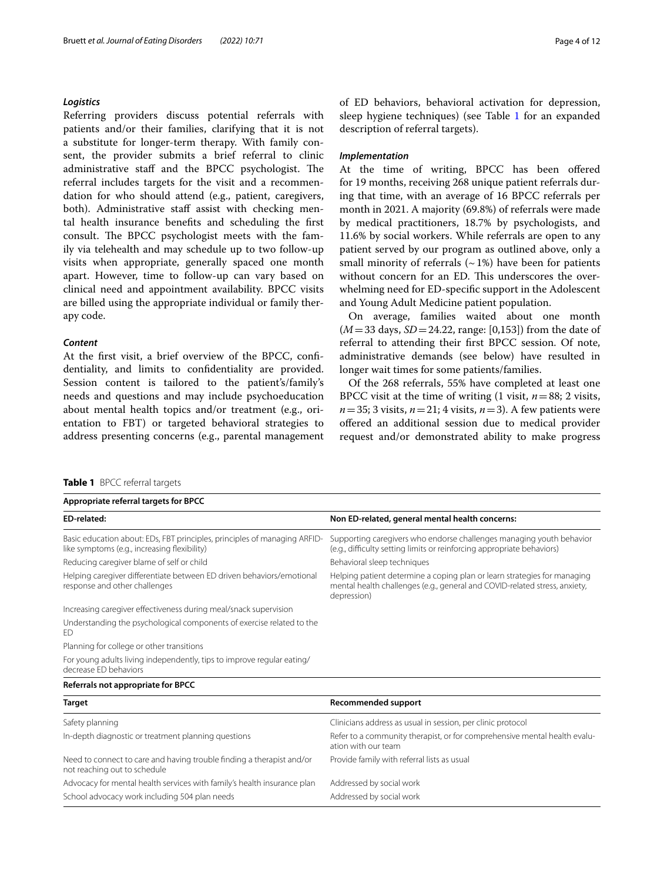# *Logistics*

Referring providers discuss potential referrals with patients and/or their families, clarifying that it is not a substitute for longer-term therapy. With family consent, the provider submits a brief referral to clinic administrative staff and the BPCC psychologist. The referral includes targets for the visit and a recommendation for who should attend (e.g., patient, caregivers, both). Administrative staff assist with checking mental health insurance benefts and scheduling the frst consult. The BPCC psychologist meets with the family via telehealth and may schedule up to two follow-up visits when appropriate, generally spaced one month apart. However, time to follow-up can vary based on clinical need and appointment availability. BPCC visits are billed using the appropriate individual or family therapy code.

#### *Content*

At the frst visit, a brief overview of the BPCC, confdentiality, and limits to confdentiality are provided. Session content is tailored to the patient's/family's needs and questions and may include psychoeducation about mental health topics and/or treatment (e.g., orientation to FBT) or targeted behavioral strategies to address presenting concerns (e.g., parental management of ED behaviors, behavioral activation for depression, sleep hygiene techniques) (see Table [1](#page-3-0) for an expanded description of referral targets).

#### *Implementation*

At the time of writing, BPCC has been ofered for 19 months, receiving 268 unique patient referrals during that time, with an average of 16 BPCC referrals per month in 2021. A majority (69.8%) of referrals were made by medical practitioners, 18.7% by psychologists, and 11.6% by social workers. While referrals are open to any patient served by our program as outlined above, only a small minority of referrals  $({\sim}1\%)$  have been for patients without concern for an ED. This underscores the overwhelming need for ED-specifc support in the Adolescent and Young Adult Medicine patient population.

On average, families waited about one month (*M*=33 days, *SD*=24.22, range: [0,153]) from the date of referral to attending their frst BPCC session. Of note, administrative demands (see below) have resulted in longer wait times for some patients/families.

Of the 268 referrals, 55% have completed at least one BPCC visit at the time of writing  $(1 \text{ visit}, n=88; 2 \text{ visits},$  $n=35$ ; 3 visits,  $n=21$ ; 4 visits,  $n=3$ ). A few patients were ofered an additional session due to medical provider request and/or demonstrated ability to make progress

| <b>TADIC I</b> DECLICICITAL LATUCLS<br>Appropriate referral targets for BPCC                                              |                                                                                                                                                                       |
|---------------------------------------------------------------------------------------------------------------------------|-----------------------------------------------------------------------------------------------------------------------------------------------------------------------|
|                                                                                                                           |                                                                                                                                                                       |
| Basic education about: EDs, FBT principles, principles of managing ARFID-<br>like symptoms (e.g., increasing flexibility) | Supporting caregivers who endorse challenges managing youth behavior<br>(e.g., difficulty setting limits or reinforcing appropriate behaviors)                        |
| Reducing caregiver blame of self or child                                                                                 | Behavioral sleep techniques                                                                                                                                           |
| Helping caregiver differentiate between ED driven behaviors/emotional<br>response and other challenges                    | Helping patient determine a coping plan or learn strategies for managing<br>mental health challenges (e.g., general and COVID-related stress, anxiety,<br>depression) |
| Increasing caregiver effectiveness during meal/snack supervision                                                          |                                                                                                                                                                       |
| Understanding the psychological components of exercise related to the<br>ED                                               |                                                                                                                                                                       |
| Planning for college or other transitions                                                                                 |                                                                                                                                                                       |
| For young adults living independently, tips to improve regular eating/<br>decrease ED behaviors                           |                                                                                                                                                                       |
| Referrals not appropriate for BPCC                                                                                        |                                                                                                                                                                       |
| <b>Target</b>                                                                                                             | <b>Recommended support</b>                                                                                                                                            |
| Safety planning                                                                                                           | Clinicians address as usual in session, per clinic protocol                                                                                                           |
| In-depth diagnostic or treatment planning questions                                                                       | Refer to a community therapist, or for comprehensive mental health evalu-<br>ation with our team                                                                      |
| Need to connect to care and having trouble finding a therapist and/or<br>not reaching out to schedule                     | Provide family with referral lists as usual                                                                                                                           |
| Advocacy for mental health services with family's health insurance plan                                                   | Addressed by social work                                                                                                                                              |
| School advocacy work including 504 plan needs                                                                             | Addressed by social work                                                                                                                                              |

### <span id="page-3-0"></span>**Table 1** BPCC referral targets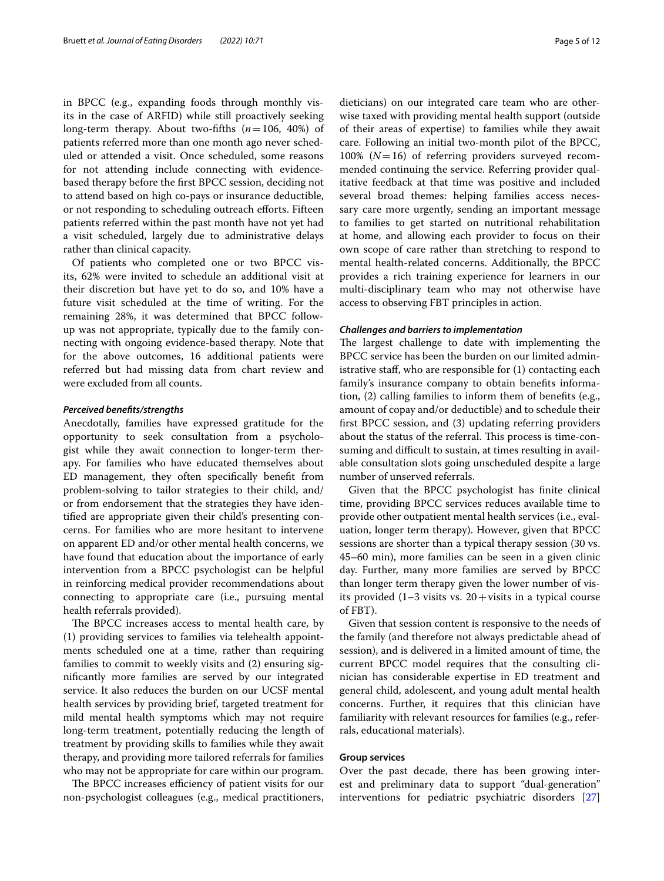in BPCC (e.g., expanding foods through monthly visits in the case of ARFID) while still proactively seeking long-term therapy. About two-ffths (*n*=106, 40%) of patients referred more than one month ago never scheduled or attended a visit. Once scheduled, some reasons for not attending include connecting with evidencebased therapy before the frst BPCC session, deciding not to attend based on high co-pays or insurance deductible, or not responding to scheduling outreach eforts. Fifteen patients referred within the past month have not yet had a visit scheduled, largely due to administrative delays rather than clinical capacity.

Of patients who completed one or two BPCC visits, 62% were invited to schedule an additional visit at their discretion but have yet to do so, and 10% have a future visit scheduled at the time of writing. For the remaining 28%, it was determined that BPCC followup was not appropriate, typically due to the family connecting with ongoing evidence-based therapy. Note that for the above outcomes, 16 additional patients were referred but had missing data from chart review and were excluded from all counts.

#### *Perceived benefts/strengths*

Anecdotally, families have expressed gratitude for the opportunity to seek consultation from a psychologist while they await connection to longer-term therapy. For families who have educated themselves about ED management, they often specifcally beneft from problem-solving to tailor strategies to their child, and/ or from endorsement that the strategies they have identifed are appropriate given their child's presenting concerns. For families who are more hesitant to intervene on apparent ED and/or other mental health concerns, we have found that education about the importance of early intervention from a BPCC psychologist can be helpful in reinforcing medical provider recommendations about connecting to appropriate care (i.e., pursuing mental health referrals provided).

The BPCC increases access to mental health care, by (1) providing services to families via telehealth appointments scheduled one at a time, rather than requiring families to commit to weekly visits and (2) ensuring signifcantly more families are served by our integrated service. It also reduces the burden on our UCSF mental health services by providing brief, targeted treatment for mild mental health symptoms which may not require long-term treatment, potentially reducing the length of treatment by providing skills to families while they await therapy, and providing more tailored referrals for families who may not be appropriate for care within our program.

The BPCC increases efficiency of patient visits for our non-psychologist colleagues (e.g., medical practitioners, dieticians) on our integrated care team who are otherwise taxed with providing mental health support (outside of their areas of expertise) to families while they await care. Following an initial two-month pilot of the BPCC, 100% (*N*=16) of referring providers surveyed recommended continuing the service. Referring provider qualitative feedback at that time was positive and included several broad themes: helping families access necessary care more urgently, sending an important message to families to get started on nutritional rehabilitation at home, and allowing each provider to focus on their own scope of care rather than stretching to respond to mental health-related concerns. Additionally, the BPCC provides a rich training experience for learners in our multi-disciplinary team who may not otherwise have access to observing FBT principles in action.

#### *Challenges and barriers to implementation*

The largest challenge to date with implementing the BPCC service has been the burden on our limited administrative staff, who are responsible for (1) contacting each family's insurance company to obtain benefts information, (2) calling families to inform them of benefts (e.g., amount of copay and/or deductible) and to schedule their frst BPCC session, and (3) updating referring providers about the status of the referral. This process is time-consuming and difficult to sustain, at times resulting in available consultation slots going unscheduled despite a large number of unserved referrals.

Given that the BPCC psychologist has fnite clinical time, providing BPCC services reduces available time to provide other outpatient mental health services (i.e., evaluation, longer term therapy). However, given that BPCC sessions are shorter than a typical therapy session (30 vs. 45–60 min), more families can be seen in a given clinic day. Further, many more families are served by BPCC than longer term therapy given the lower number of visits provided  $(1-3$  visits vs.  $20+$ visits in a typical course of FBT).

Given that session content is responsive to the needs of the family (and therefore not always predictable ahead of session), and is delivered in a limited amount of time, the current BPCC model requires that the consulting clinician has considerable expertise in ED treatment and general child, adolescent, and young adult mental health concerns. Further, it requires that this clinician have familiarity with relevant resources for families (e.g., referrals, educational materials).

#### **Group services**

Over the past decade, there has been growing interest and preliminary data to support "dual-generation" interventions for pediatric psychiatric disorders [[27](#page-10-25)]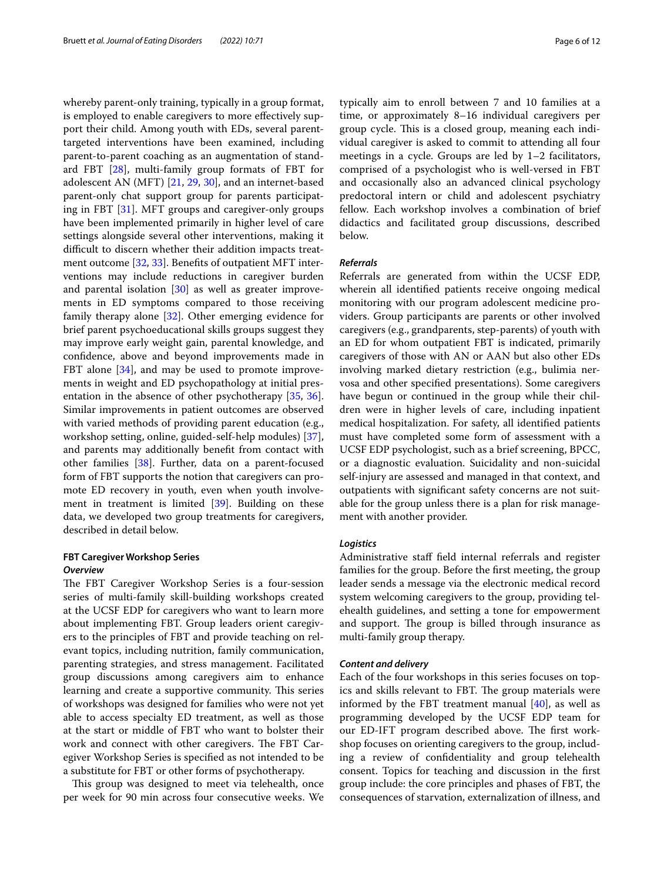whereby parent-only training, typically in a group format, is employed to enable caregivers to more efectively support their child. Among youth with EDs, several parenttargeted interventions have been examined, including parent-to-parent coaching as an augmentation of standard FBT [[28\]](#page-10-26), multi-family group formats of FBT for adolescent AN (MFT) [\[21](#page-10-19), [29,](#page-10-27) [30\]](#page-10-28), and an internet-based parent-only chat support group for parents participating in FBT [\[31](#page-10-29)]. MFT groups and caregiver-only groups have been implemented primarily in higher level of care settings alongside several other interventions, making it difficult to discern whether their addition impacts treatment outcome [[32,](#page-10-30) [33](#page-10-31)]. Benefts of outpatient MFT interventions may include reductions in caregiver burden and parental isolation [[30\]](#page-10-28) as well as greater improvements in ED symptoms compared to those receiving family therapy alone [[32](#page-10-30)]. Other emerging evidence for brief parent psychoeducational skills groups suggest they may improve early weight gain, parental knowledge, and confdence, above and beyond improvements made in FBT alone [\[34\]](#page-10-32), and may be used to promote improvements in weight and ED psychopathology at initial presentation in the absence of other psychotherapy [[35,](#page-10-33) [36](#page-10-34)]. Similar improvements in patient outcomes are observed with varied methods of providing parent education (e.g., workshop setting, online, guided-self-help modules) [\[37](#page-10-35)], and parents may additionally beneft from contact with other families [[38\]](#page-10-36). Further, data on a parent-focused form of FBT supports the notion that caregivers can promote ED recovery in youth, even when youth involvement in treatment is limited [\[39](#page-10-37)]. Building on these data, we developed two group treatments for caregivers, described in detail below.

# **FBT Caregiver Workshop Series** *Overview*

The FBT Caregiver Workshop Series is a four-session series of multi-family skill-building workshops created at the UCSF EDP for caregivers who want to learn more about implementing FBT. Group leaders orient caregivers to the principles of FBT and provide teaching on relevant topics, including nutrition, family communication, parenting strategies, and stress management. Facilitated group discussions among caregivers aim to enhance learning and create a supportive community. This series of workshops was designed for families who were not yet able to access specialty ED treatment, as well as those at the start or middle of FBT who want to bolster their work and connect with other caregivers. The FBT Caregiver Workshop Series is specifed as not intended to be a substitute for FBT or other forms of psychotherapy.

This group was designed to meet via telehealth, once per week for 90 min across four consecutive weeks. We typically aim to enroll between 7 and 10 families at a time, or approximately 8–16 individual caregivers per group cycle. This is a closed group, meaning each individual caregiver is asked to commit to attending all four meetings in a cycle. Groups are led by 1–2 facilitators, comprised of a psychologist who is well-versed in FBT and occasionally also an advanced clinical psychology predoctoral intern or child and adolescent psychiatry fellow. Each workshop involves a combination of brief didactics and facilitated group discussions, described below.

#### *Referrals*

Referrals are generated from within the UCSF EDP, wherein all identifed patients receive ongoing medical monitoring with our program adolescent medicine providers. Group participants are parents or other involved caregivers (e.g., grandparents, step-parents) of youth with an ED for whom outpatient FBT is indicated, primarily caregivers of those with AN or AAN but also other EDs involving marked dietary restriction (e.g., bulimia nervosa and other specifed presentations). Some caregivers have begun or continued in the group while their children were in higher levels of care, including inpatient medical hospitalization. For safety, all identifed patients must have completed some form of assessment with a UCSF EDP psychologist, such as a brief screening, BPCC, or a diagnostic evaluation. Suicidality and non-suicidal self-injury are assessed and managed in that context, and outpatients with signifcant safety concerns are not suitable for the group unless there is a plan for risk management with another provider.

## *Logistics*

Administrative staf feld internal referrals and register families for the group. Before the frst meeting, the group leader sends a message via the electronic medical record system welcoming caregivers to the group, providing telehealth guidelines, and setting a tone for empowerment and support. The group is billed through insurance as multi-family group therapy.

#### *Content and delivery*

Each of the four workshops in this series focuses on topics and skills relevant to FBT. The group materials were informed by the FBT treatment manual  $[40]$ , as well as programming developed by the UCSF EDP team for our ED-IFT program described above. The first workshop focuses on orienting caregivers to the group, including a review of confdentiality and group telehealth consent. Topics for teaching and discussion in the frst group include: the core principles and phases of FBT, the consequences of starvation, externalization of illness, and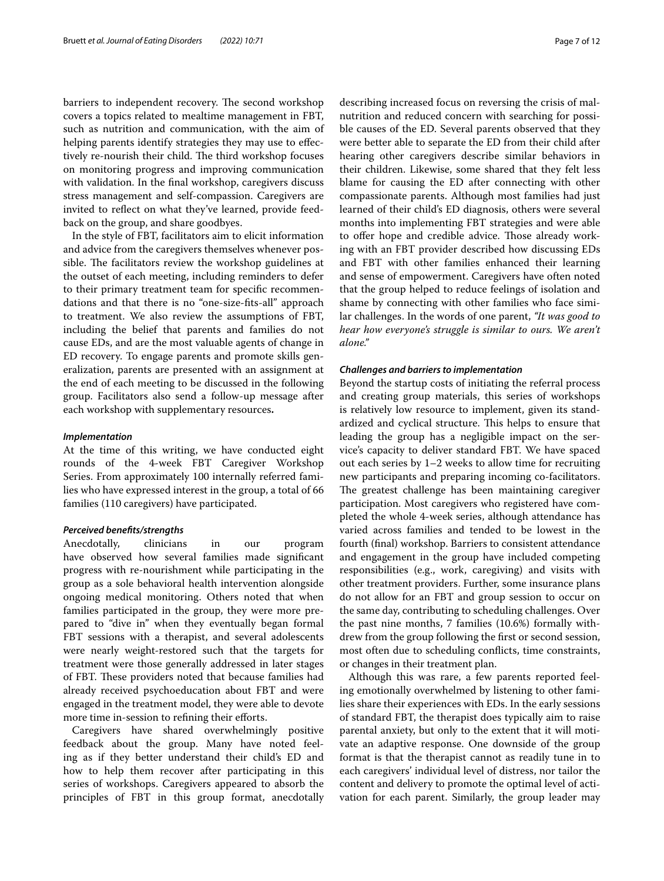barriers to independent recovery. The second workshop covers a topics related to mealtime management in FBT, such as nutrition and communication, with the aim of helping parents identify strategies they may use to effectively re-nourish their child. The third workshop focuses on monitoring progress and improving communication with validation. In the fnal workshop, caregivers discuss stress management and self-compassion. Caregivers are invited to refect on what they've learned, provide feedback on the group, and share goodbyes.

In the style of FBT, facilitators aim to elicit information and advice from the caregivers themselves whenever possible. The facilitators review the workshop guidelines at the outset of each meeting, including reminders to defer to their primary treatment team for specifc recommendations and that there is no "one-size-fts-all" approach to treatment. We also review the assumptions of FBT, including the belief that parents and families do not cause EDs, and are the most valuable agents of change in ED recovery. To engage parents and promote skills generalization, parents are presented with an assignment at the end of each meeting to be discussed in the following group. Facilitators also send a follow-up message after each workshop with supplementary resources**.**

#### *Implementation*

At the time of this writing, we have conducted eight rounds of the 4-week FBT Caregiver Workshop Series. From approximately 100 internally referred families who have expressed interest in the group, a total of 66 families (110 caregivers) have participated.

#### *Perceived benefts/strengths*

Anecdotally, clinicians in our program have observed how several families made signifcant progress with re-nourishment while participating in the group as a sole behavioral health intervention alongside ongoing medical monitoring. Others noted that when families participated in the group, they were more prepared to "dive in" when they eventually began formal FBT sessions with a therapist, and several adolescents were nearly weight-restored such that the targets for treatment were those generally addressed in later stages of FBT. These providers noted that because families had already received psychoeducation about FBT and were engaged in the treatment model, they were able to devote more time in-session to refining their efforts.

Caregivers have shared overwhelmingly positive feedback about the group. Many have noted feeling as if they better understand their child's ED and how to help them recover after participating in this series of workshops. Caregivers appeared to absorb the principles of FBT in this group format, anecdotally describing increased focus on reversing the crisis of malnutrition and reduced concern with searching for possible causes of the ED. Several parents observed that they were better able to separate the ED from their child after hearing other caregivers describe similar behaviors in their children. Likewise, some shared that they felt less blame for causing the ED after connecting with other compassionate parents. Although most families had just learned of their child's ED diagnosis, others were several months into implementing FBT strategies and were able to offer hope and credible advice. Those already working with an FBT provider described how discussing EDs and FBT with other families enhanced their learning and sense of empowerment. Caregivers have often noted that the group helped to reduce feelings of isolation and shame by connecting with other families who face similar challenges. In the words of one parent, *"It was good to hear how everyone's struggle is similar to ours. We aren't alone."*

#### *Challenges and barriers to implementation*

Beyond the startup costs of initiating the referral process and creating group materials, this series of workshops is relatively low resource to implement, given its standardized and cyclical structure. This helps to ensure that leading the group has a negligible impact on the service's capacity to deliver standard FBT. We have spaced out each series by 1–2 weeks to allow time for recruiting new participants and preparing incoming co-facilitators. The greatest challenge has been maintaining caregiver participation. Most caregivers who registered have completed the whole 4-week series, although attendance has varied across families and tended to be lowest in the fourth (fnal) workshop. Barriers to consistent attendance and engagement in the group have included competing responsibilities (e.g., work, caregiving) and visits with other treatment providers. Further, some insurance plans do not allow for an FBT and group session to occur on the same day, contributing to scheduling challenges. Over the past nine months, 7 families (10.6%) formally withdrew from the group following the frst or second session, most often due to scheduling conficts, time constraints, or changes in their treatment plan.

Although this was rare, a few parents reported feeling emotionally overwhelmed by listening to other families share their experiences with EDs. In the early sessions of standard FBT, the therapist does typically aim to raise parental anxiety, but only to the extent that it will motivate an adaptive response. One downside of the group format is that the therapist cannot as readily tune in to each caregivers' individual level of distress, nor tailor the content and delivery to promote the optimal level of activation for each parent. Similarly, the group leader may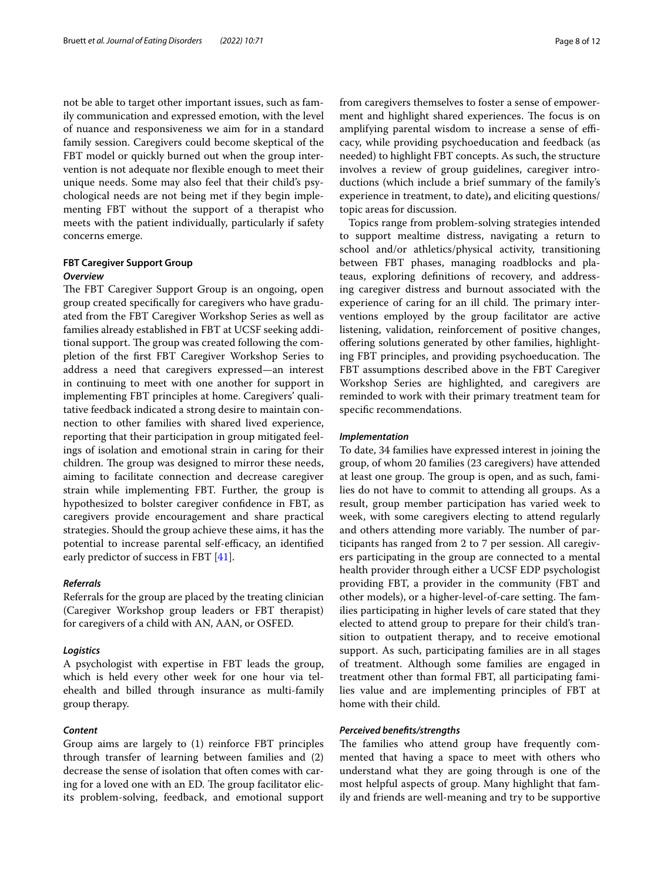not be able to target other important issues, such as family communication and expressed emotion, with the level of nuance and responsiveness we aim for in a standard family session. Caregivers could become skeptical of the FBT model or quickly burned out when the group intervention is not adequate nor fexible enough to meet their unique needs. Some may also feel that their child's psychological needs are not being met if they begin implementing FBT without the support of a therapist who meets with the patient individually, particularly if safety concerns emerge.

#### **FBT Caregiver Support Group** *Overview*

The FBT Caregiver Support Group is an ongoing, open group created specifcally for caregivers who have graduated from the FBT Caregiver Workshop Series as well as families already established in FBT at UCSF seeking additional support. The group was created following the completion of the frst FBT Caregiver Workshop Series to address a need that caregivers expressed—an interest in continuing to meet with one another for support in implementing FBT principles at home. Caregivers' qualitative feedback indicated a strong desire to maintain connection to other families with shared lived experience, reporting that their participation in group mitigated feelings of isolation and emotional strain in caring for their children. The group was designed to mirror these needs, aiming to facilitate connection and decrease caregiver strain while implementing FBT. Further, the group is hypothesized to bolster caregiver confdence in FBT, as caregivers provide encouragement and share practical strategies. Should the group achieve these aims, it has the potential to increase parental self-efficacy, an identified early predictor of success in FBT [\[41](#page-10-39)].

## *Referrals*

Referrals for the group are placed by the treating clinician (Caregiver Workshop group leaders or FBT therapist) for caregivers of a child with AN, AAN, or OSFED.

#### *Logistics*

A psychologist with expertise in FBT leads the group, which is held every other week for one hour via telehealth and billed through insurance as multi-family group therapy.

#### *Content*

Group aims are largely to (1) reinforce FBT principles through transfer of learning between families and (2) decrease the sense of isolation that often comes with caring for a loved one with an ED. The group facilitator elicits problem-solving, feedback, and emotional support from caregivers themselves to foster a sense of empowerment and highlight shared experiences. The focus is on amplifying parental wisdom to increase a sense of efficacy, while providing psychoeducation and feedback (as needed) to highlight FBT concepts. As such, the structure involves a review of group guidelines, caregiver introductions (which include a brief summary of the family's experience in treatment, to date)**,** and eliciting questions/ topic areas for discussion.

Topics range from problem-solving strategies intended to support mealtime distress, navigating a return to school and/or athletics/physical activity, transitioning between FBT phases, managing roadblocks and plateaus, exploring defnitions of recovery, and addressing caregiver distress and burnout associated with the experience of caring for an ill child. The primary interventions employed by the group facilitator are active listening, validation, reinforcement of positive changes, ofering solutions generated by other families, highlighting FBT principles, and providing psychoeducation. The FBT assumptions described above in the FBT Caregiver Workshop Series are highlighted, and caregivers are reminded to work with their primary treatment team for specifc recommendations.

#### *Implementation*

To date, 34 families have expressed interest in joining the group, of whom 20 families (23 caregivers) have attended at least one group. The group is open, and as such, families do not have to commit to attending all groups. As a result, group member participation has varied week to week, with some caregivers electing to attend regularly and others attending more variably. The number of participants has ranged from 2 to 7 per session. All caregivers participating in the group are connected to a mental health provider through either a UCSF EDP psychologist providing FBT, a provider in the community (FBT and other models), or a higher-level-of-care setting. The families participating in higher levels of care stated that they elected to attend group to prepare for their child's transition to outpatient therapy, and to receive emotional support. As such, participating families are in all stages of treatment. Although some families are engaged in treatment other than formal FBT, all participating families value and are implementing principles of FBT at home with their child.

#### *Perceived benefts/strengths*

The families who attend group have frequently commented that having a space to meet with others who understand what they are going through is one of the most helpful aspects of group. Many highlight that family and friends are well-meaning and try to be supportive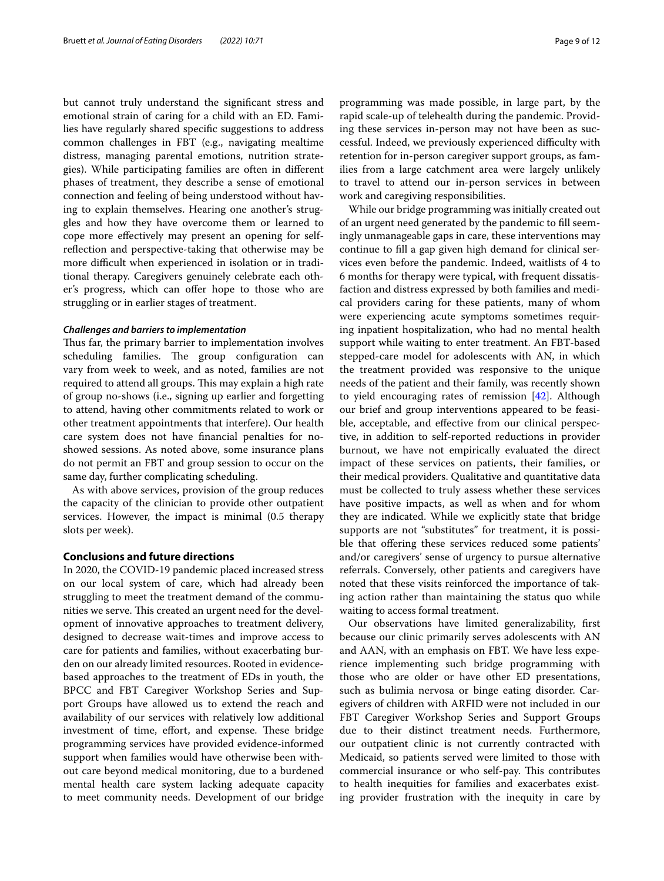but cannot truly understand the signifcant stress and emotional strain of caring for a child with an ED. Families have regularly shared specifc suggestions to address common challenges in FBT (e.g., navigating mealtime distress, managing parental emotions, nutrition strategies). While participating families are often in diferent phases of treatment, they describe a sense of emotional connection and feeling of being understood without having to explain themselves. Hearing one another's struggles and how they have overcome them or learned to cope more efectively may present an opening for selfrefection and perspective-taking that otherwise may be more difficult when experienced in isolation or in traditional therapy. Caregivers genuinely celebrate each other's progress, which can offer hope to those who are struggling or in earlier stages of treatment.

#### *Challenges and barriers to implementation*

Thus far, the primary barrier to implementation involves scheduling families. The group configuration can vary from week to week, and as noted, families are not required to attend all groups. This may explain a high rate of group no-shows (i.e., signing up earlier and forgetting to attend, having other commitments related to work or other treatment appointments that interfere). Our health care system does not have fnancial penalties for noshowed sessions. As noted above, some insurance plans do not permit an FBT and group session to occur on the same day, further complicating scheduling.

As with above services, provision of the group reduces the capacity of the clinician to provide other outpatient services. However, the impact is minimal (0.5 therapy slots per week).

#### **Conclusions and future directions**

In 2020, the COVID-19 pandemic placed increased stress on our local system of care, which had already been struggling to meet the treatment demand of the communities we serve. This created an urgent need for the development of innovative approaches to treatment delivery, designed to decrease wait-times and improve access to care for patients and families, without exacerbating burden on our already limited resources. Rooted in evidencebased approaches to the treatment of EDs in youth, the BPCC and FBT Caregiver Workshop Series and Support Groups have allowed us to extend the reach and availability of our services with relatively low additional investment of time, effort, and expense. These bridge programming services have provided evidence-informed support when families would have otherwise been without care beyond medical monitoring, due to a burdened mental health care system lacking adequate capacity to meet community needs. Development of our bridge programming was made possible, in large part, by the rapid scale-up of telehealth during the pandemic. Providing these services in-person may not have been as successful. Indeed, we previously experienced difficulty with retention for in-person caregiver support groups, as families from a large catchment area were largely unlikely to travel to attend our in-person services in between work and caregiving responsibilities.

While our bridge programming was initially created out of an urgent need generated by the pandemic to fll seemingly unmanageable gaps in care, these interventions may continue to fll a gap given high demand for clinical services even before the pandemic. Indeed, waitlists of 4 to 6 months for therapy were typical, with frequent dissatisfaction and distress expressed by both families and medical providers caring for these patients, many of whom were experiencing acute symptoms sometimes requiring inpatient hospitalization, who had no mental health support while waiting to enter treatment. An FBT-based stepped-care model for adolescents with AN, in which the treatment provided was responsive to the unique needs of the patient and their family, was recently shown to yield encouraging rates of remission [\[42](#page-11-0)]. Although our brief and group interventions appeared to be feasible, acceptable, and effective from our clinical perspective, in addition to self-reported reductions in provider burnout, we have not empirically evaluated the direct impact of these services on patients, their families, or their medical providers. Qualitative and quantitative data must be collected to truly assess whether these services have positive impacts, as well as when and for whom they are indicated. While we explicitly state that bridge supports are not "substitutes" for treatment, it is possible that offering these services reduced some patients' and/or caregivers' sense of urgency to pursue alternative referrals. Conversely, other patients and caregivers have noted that these visits reinforced the importance of taking action rather than maintaining the status quo while waiting to access formal treatment.

Our observations have limited generalizability, frst because our clinic primarily serves adolescents with AN and AAN, with an emphasis on FBT. We have less experience implementing such bridge programming with those who are older or have other ED presentations, such as bulimia nervosa or binge eating disorder. Caregivers of children with ARFID were not included in our FBT Caregiver Workshop Series and Support Groups due to their distinct treatment needs. Furthermore, our outpatient clinic is not currently contracted with Medicaid, so patients served were limited to those with commercial insurance or who self-pay. This contributes to health inequities for families and exacerbates existing provider frustration with the inequity in care by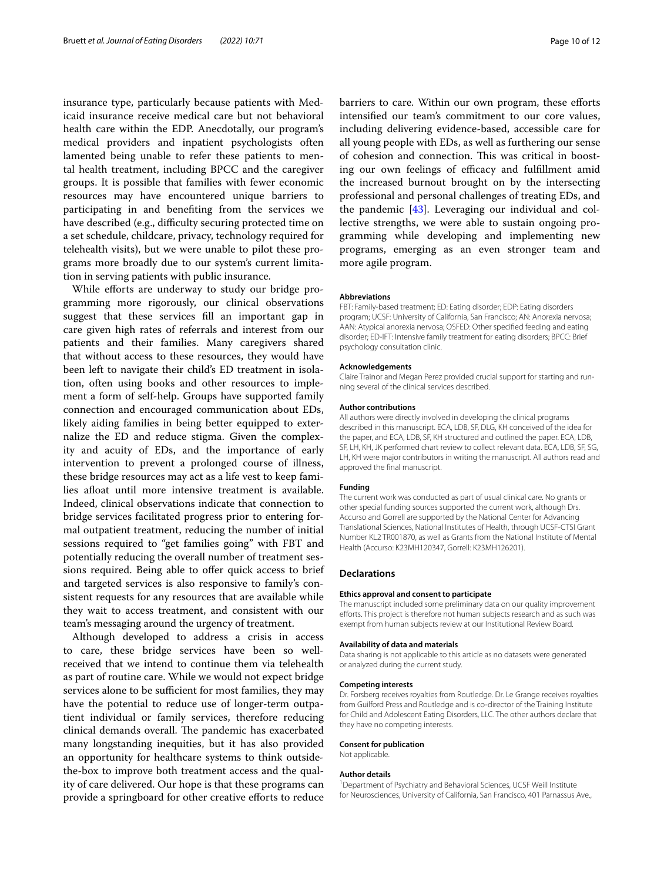insurance type, particularly because patients with Medicaid insurance receive medical care but not behavioral health care within the EDP. Anecdotally, our program's medical providers and inpatient psychologists often lamented being unable to refer these patients to mental health treatment, including BPCC and the caregiver groups. It is possible that families with fewer economic resources may have encountered unique barriers to participating in and benefting from the services we have described (e.g., difficulty securing protected time on a set schedule, childcare, privacy, technology required for telehealth visits), but we were unable to pilot these programs more broadly due to our system's current limitation in serving patients with public insurance.

While efforts are underway to study our bridge programming more rigorously, our clinical observations suggest that these services fll an important gap in care given high rates of referrals and interest from our patients and their families. Many caregivers shared that without access to these resources, they would have been left to navigate their child's ED treatment in isolation, often using books and other resources to implement a form of self-help. Groups have supported family connection and encouraged communication about EDs, likely aiding families in being better equipped to externalize the ED and reduce stigma. Given the complexity and acuity of EDs, and the importance of early intervention to prevent a prolonged course of illness, these bridge resources may act as a life vest to keep families afoat until more intensive treatment is available. Indeed, clinical observations indicate that connection to bridge services facilitated progress prior to entering formal outpatient treatment, reducing the number of initial sessions required to "get families going" with FBT and potentially reducing the overall number of treatment sessions required. Being able to offer quick access to brief and targeted services is also responsive to family's consistent requests for any resources that are available while they wait to access treatment, and consistent with our team's messaging around the urgency of treatment.

Although developed to address a crisis in access to care, these bridge services have been so wellreceived that we intend to continue them via telehealth as part of routine care. While we would not expect bridge services alone to be sufficient for most families, they may have the potential to reduce use of longer-term outpatient individual or family services, therefore reducing clinical demands overall. The pandemic has exacerbated many longstanding inequities, but it has also provided an opportunity for healthcare systems to think outsidethe-box to improve both treatment access and the quality of care delivered. Our hope is that these programs can provide a springboard for other creative eforts to reduce

barriers to care. Within our own program, these efforts intensifed our team's commitment to our core values, including delivering evidence-based, accessible care for all young people with EDs, as well as furthering our sense of cohesion and connection. This was critical in boosting our own feelings of efficacy and fulfillment amid the increased burnout brought on by the intersecting professional and personal challenges of treating EDs, and the pandemic [\[43\]](#page-11-1). Leveraging our individual and collective strengths, we were able to sustain ongoing programming while developing and implementing new programs, emerging as an even stronger team and more agile program.

### **Abbreviations**

FBT: Family-based treatment; ED: Eating disorder; EDP: Eating disorders program; UCSF: University of California, San Francisco; AN: Anorexia nervosa; AAN: Atypical anorexia nervosa; OSFED: Other specifed feeding and eating disorder; ED-IFT: Intensive family treatment for eating disorders; BPCC: Brief psychology consultation clinic.

#### **Acknowledgements**

Claire Trainor and Megan Perez provided crucial support for starting and running several of the clinical services described.

#### **Author contributions**

All authors were directly involved in developing the clinical programs described in this manuscript. ECA, LDB, SF, DLG, KH conceived of the idea for the paper, and ECA, LDB, SF, KH structured and outlined the paper. ECA, LDB, SF, LH, KH, JK performed chart review to collect relevant data. ECA, LDB, SF, SG, LH, KH were major contributors in writing the manuscript. All authors read and approved the fnal manuscript.

#### **Funding**

The current work was conducted as part of usual clinical care. No grants or other special funding sources supported the current work, although Drs. Accurso and Gorrell are supported by the National Center for Advancing Translational Sciences, National Institutes of Health, through UCSF-CTSI Grant Number KL2 TR001870, as well as Grants from the National Institute of Mental Health (Accurso: K23MH120347, Gorrell: K23MH126201).

#### **Declarations**

#### **Ethics approval and consent to participate**

The manuscript included some preliminary data on our quality improvement eforts. This project is therefore not human subjects research and as such was exempt from human subjects review at our Institutional Review Board.

#### **Availability of data and materials**

Data sharing is not applicable to this article as no datasets were generated or analyzed during the current study.

#### **Competing interests**

Dr. Forsberg receives royalties from Routledge. Dr. Le Grange receives royalties from Guilford Press and Routledge and is co-director of the Training Institute for Child and Adolescent Eating Disorders, LLC. The other authors declare that they have no competing interests.

#### **Consent for publication**

Not applicable.

#### **Author details**

<sup>1</sup> Department of Psychiatry and Behavioral Sciences, UCSF Weill Institute for Neurosciences, University of California, San Francisco, 401 Parnassus Ave.,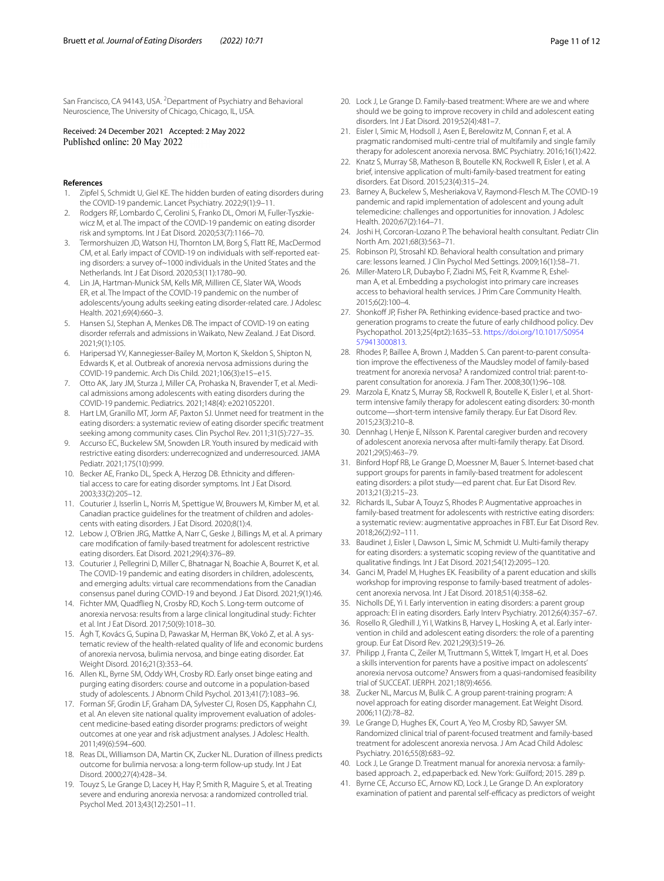San Francisco, CA 94143, USA. <sup>2</sup> Department of Psychiatry and Behavioral Neuroscience, The University of Chicago, Chicago, IL, USA.

# Received: 24 December 2021 Accepted: 2 May 2022

#### **References**

- <span id="page-10-0"></span>Zipfel S, Schmidt U, Giel KE. The hidden burden of eating disorders during the COVID-19 pandemic. Lancet Psychiatry. 2022;9(1):9–11.
- <span id="page-10-1"></span>2. Rodgers RF, Lombardo C, Cerolini S, Franko DL, Omori M, Fuller-Tyszkiewicz M, et al. The impact of the COVID-19 pandemic on eating disorder risk and symptoms. Int J Eat Disord. 2020;53(7):1166–70.
- <span id="page-10-2"></span>3. Termorshuizen JD, Watson HJ, Thornton LM, Borg S, Flatt RE, MacDermod CM, et al. Early impact of COVID-19 on individuals with self-reported eating disorders: a survey of~1000 individuals in the United States and the Netherlands. Int J Eat Disord. 2020;53(11):1780–90.
- <span id="page-10-3"></span>4. Lin JA, Hartman-Munick SM, Kells MR, Milliren CE, Slater WA, Woods ER, et al. The Impact of the COVID-19 pandemic on the number of adolescents/young adults seeking eating disorder-related care. J Adolesc Health. 2021;69(4):660–3.
- <span id="page-10-6"></span>5. Hansen SJ, Stephan A, Menkes DB. The impact of COVID-19 on eating disorder referrals and admissions in Waikato, New Zealand. J Eat Disord. 2021;9(1):105.
- <span id="page-10-4"></span>6. Haripersad YV, Kannegiesser-Bailey M, Morton K, Skeldon S, Shipton N, Edwards K, et al. Outbreak of anorexia nervosa admissions during the COVID-19 pandemic. Arch Dis Child. 2021;106(3):e15–e15.
- <span id="page-10-5"></span>7. Otto AK, Jary JM, Sturza J, Miller CA, Prohaska N, Bravender T, et al. Medical admissions among adolescents with eating disorders during the COVID-19 pandemic. Pediatrics. 2021;148(4): e2021052201.
- <span id="page-10-7"></span>8. Hart LM, Granillo MT, Jorm AF, Paxton SJ. Unmet need for treatment in the eating disorders: a systematic review of eating disorder specifc treatment seeking among community cases. Clin Psychol Rev. 2011;31(5):727–35.
- <span id="page-10-8"></span>9. Accurso EC, Buckelew SM, Snowden LR. Youth insured by medicaid with restrictive eating disorders: underrecognized and underresourced. JAMA Pediatr. 2021;175(10):999.
- <span id="page-10-9"></span>10. Becker AE, Franko DL, Speck A, Herzog DB. Ethnicity and diferential access to care for eating disorder symptoms. Int J Eat Disord. 2003;33(2):205–12.
- <span id="page-10-10"></span>11. Couturier J, Isserlin L, Norris M, Spettigue W, Brouwers M, Kimber M, et al. Canadian practice guidelines for the treatment of children and adolescents with eating disorders. J Eat Disord. 2020;8(1):4.
- <span id="page-10-11"></span>12. Lebow J, O'Brien JRG, Mattke A, Narr C, Geske J, Billings M, et al. A primary care modifcation of family-based treatment for adolescent restrictive eating disorders. Eat Disord. 2021;29(4):376–89.
- <span id="page-10-12"></span>13. Couturier J, Pellegrini D, Miller C, Bhatnagar N, Boachie A, Bourret K, et al. The COVID-19 pandemic and eating disorders in children, adolescents, and emerging adults: virtual care recommendations from the Canadian consensus panel during COVID-19 and beyond. J Eat Disord. 2021;9(1):46.
- <span id="page-10-13"></span>14. Fichter MM, Quadfieg N, Crosby RD, Koch S. Long-term outcome of anorexia nervosa: results from a large clinical longitudinal study: Fichter et al. Int J Eat Disord. 2017;50(9):1018–30.
- <span id="page-10-14"></span>15. Ágh T, Kovács G, Supina D, Pawaskar M, Herman BK, Vokó Z, et al. A systematic review of the health-related quality of life and economic burdens of anorexia nervosa, bulimia nervosa, and binge eating disorder. Eat Weight Disord. 2016;21(3):353–64.
- <span id="page-10-15"></span>16. Allen KL, Byrne SM, Oddy WH, Crosby RD. Early onset binge eating and purging eating disorders: course and outcome in a population-based study of adolescents. J Abnorm Child Psychol. 2013;41(7):1083–96.
- 17. Forman SF, Grodin LF, Graham DA, Sylvester CJ, Rosen DS, Kapphahn CJ, et al. An eleven site national quality improvement evaluation of adolescent medicine-based eating disorder programs: predictors of weight outcomes at one year and risk adjustment analyses. J Adolesc Health. 2011;49(6):594–600.
- <span id="page-10-16"></span>18. Reas DL, Williamson DA, Martin CK, Zucker NL. Duration of illness predicts outcome for bulimia nervosa: a long-term follow-up study. Int J Eat Disord. 2000;27(4):428–34.
- <span id="page-10-17"></span>19. Touyz S, Le Grange D, Lacey H, Hay P, Smith R, Maguire S, et al. Treating severe and enduring anorexia nervosa: a randomized controlled trial. Psychol Med. 2013;43(12):2501–11.
- <span id="page-10-18"></span>20. Lock J, Le Grange D. Family-based treatment: Where are we and where should we be going to improve recovery in child and adolescent eating disorders. Int J Eat Disord. 2019;52(4):481–7.
- <span id="page-10-19"></span>21. Eisler I, Simic M, Hodsoll J, Asen E, Berelowitz M, Connan F, et al. A pragmatic randomised multi-centre trial of multifamily and single family therapy for adolescent anorexia nervosa. BMC Psychiatry. 2016;16(1):422.
- <span id="page-10-20"></span>22. Knatz S, Murray SB, Matheson B, Boutelle KN, Rockwell R, Eisler I, et al. A brief, intensive application of multi-family-based treatment for eating disorders. Eat Disord. 2015;23(4):315–24.
- <span id="page-10-21"></span>23. Barney A, Buckelew S, Mesheriakova V, Raymond-Flesch M. The COVID-19 pandemic and rapid implementation of adolescent and young adult telemedicine: challenges and opportunities for innovation. J Adolesc Health. 2020;67(2):164–71.
- <span id="page-10-22"></span>24. Joshi H, Corcoran-Lozano P. The behavioral health consultant. Pediatr Clin North Am. 2021;68(3):563–71.
- <span id="page-10-23"></span>25. Robinson PJ, Strosahl KD. Behavioral health consultation and primary care: lessons learned. J Clin Psychol Med Settings. 2009;16(1):58–71.
- <span id="page-10-24"></span>26. Miller-Matero LR, Dubaybo F, Ziadni MS, Feit R, Kvamme R, Eshelman A, et al. Embedding a psychologist into primary care increases access to behavioral health services. J Prim Care Community Health. 2015;6(2):100–4.
- <span id="page-10-25"></span>27. Shonkoff JP, Fisher PA. Rethinking evidence-based practice and twogeneration programs to create the future of early childhood policy. Dev Psychopathol. 2013;25(4pt2):1635–53. [https://doi.org/10.1017/S0954](https://doi.org/10.1017/S0954579413000813) [579413000813.](https://doi.org/10.1017/S0954579413000813)
- <span id="page-10-26"></span>28. Rhodes P, Baillee A, Brown J, Madden S. Can parent-to-parent consultation improve the efectiveness of the Maudsley model of family-based treatment for anorexia nervosa? A randomized control trial: parent-toparent consultation for anorexia. J Fam Ther. 2008;30(1):96–108.
- <span id="page-10-27"></span>29. Marzola E, Knatz S, Murray SB, Rockwell R, Boutelle K, Eisler I, et al. Shortterm intensive family therapy for adolescent eating disorders: 30-month outcome—short-term intensive family therapy. Eur Eat Disord Rev. 2015;23(3):210–8.
- <span id="page-10-28"></span>30. Dennhag I, Henje E, Nilsson K. Parental caregiver burden and recovery of adolescent anorexia nervosa after multi-family therapy. Eat Disord. 2021;29(5):463–79.
- <span id="page-10-29"></span>31. Binford Hopf RB, Le Grange D, Moessner M, Bauer S. Internet-based chat support groups for parents in family-based treatment for adolescent eating disorders: a pilot study—ed parent chat. Eur Eat Disord Rev. 2013;21(3):215–23.
- <span id="page-10-30"></span>32. Richards IL, Subar A, Touyz S, Rhodes P. Augmentative approaches in family-based treatment for adolescents with restrictive eating disorders: a systematic review: augmentative approaches in FBT. Eur Eat Disord Rev. 2018;26(2):92–111.
- <span id="page-10-31"></span>33. Baudinet J, Eisler I, Dawson L, Simic M, Schmidt U. Multi-family therapy for eating disorders: a systematic scoping review of the quantitative and qualitative fndings. Int J Eat Disord. 2021;54(12):2095–120.
- <span id="page-10-32"></span>34. Ganci M, Pradel M, Hughes EK. Feasibility of a parent education and skills workshop for improving response to family-based treatment of adolescent anorexia nervosa. Int J Eat Disord. 2018;51(4):358–62.
- <span id="page-10-33"></span>35. Nicholls DE, Yi I. Early intervention in eating disorders: a parent group approach: EI in eating disorders. Early Interv Psychiatry. 2012;6(4):357–67.
- <span id="page-10-34"></span>36. Rosello R, Gledhill J, Yi I, Watkins B, Harvey L, Hosking A, et al. Early intervention in child and adolescent eating disorders: the role of a parenting group. Eur Eat Disord Rev. 2021;29(3):519–26.
- <span id="page-10-35"></span>37. Philipp J, Franta C, Zeiler M, Truttmann S, Wittek T, Imgart H, et al. Does a skills intervention for parents have a positive impact on adolescents' anorexia nervosa outcome? Answers from a quasi-randomised feasibility trial of SUCCEAT. IJERPH. 2021;18(9):4656.
- <span id="page-10-36"></span>38. Zucker NL, Marcus M, Bulik C. A group parent-training program: A novel approach for eating disorder management. Eat Weight Disord. 2006;11(2):78–82.
- <span id="page-10-37"></span>39. Le Grange D, Hughes EK, Court A, Yeo M, Crosby RD, Sawyer SM. Randomized clinical trial of parent-focused treatment and family-based treatment for adolescent anorexia nervosa. J Am Acad Child Adolesc Psychiatry. 2016;55(8):683–92.
- <span id="page-10-38"></span>40. Lock J, Le Grange D. Treatment manual for anorexia nervosa: a familybased approach. 2., ed.paperback ed. New York: Guilford; 2015. 289 p.
- <span id="page-10-39"></span>41. Byrne CE, Accurso EC, Arnow KD, Lock J, Le Grange D. An exploratory examination of patient and parental self-efficacy as predictors of weight